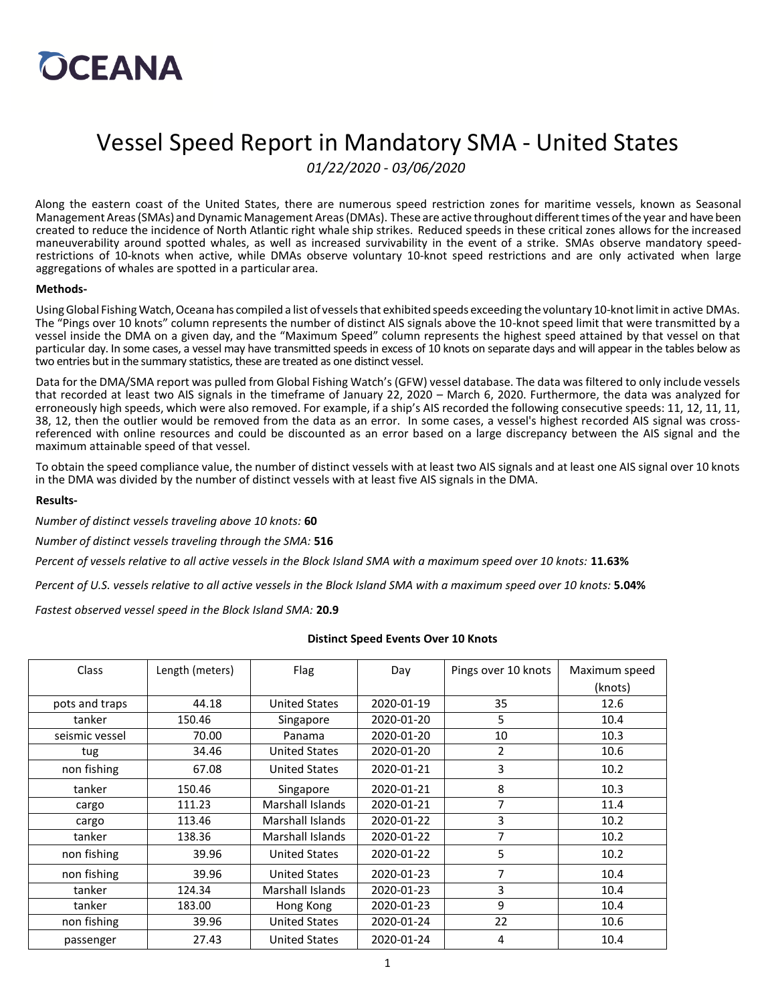

### Vessel Speed Report in Mandatory SMA - United States

*01/22/2020 - 03/06/2020*

Along the eastern coast of the United States, there are numerous speed restriction zones for maritime vessels, known as Seasonal Management Areas (SMAs) and Dynamic Management Areas (DMAs). These are active throughout different times of the year and have been created to reduce the incidence of North Atlantic right whale ship strikes. Reduced speeds in these critical zones allows for the increased maneuverability around spotted whales, as well as increased survivability in the event of a strike. SMAs observe mandatory speedrestrictions of 10-knots when active, while DMAs observe voluntary 10-knot speed restrictions and are only activated when large aggregations of whales are spotted in a particular area.

#### **Methods-**

Using Global Fishing Watch, Oceana has compiled a list of vessels that exhibited speeds exceeding the voluntary 10-knot limit in active DMAs. The "Pings over 10 knots" column represents the number of distinct AIS signals above the 10-knot speed limit that were transmitted by a vessel inside the DMA on a given day, and the "Maximum Speed" column represents the highest speed attained by that vessel on that particular day. In some cases, a vessel may have transmitted speeds in excess of 10 knots on separate days and will appear in the tables below as two entries but in the summary statistics, these are treated as one distinct vessel.

Data for the DMA/SMA report was pulled from Global Fishing Watch's (GFW) vessel database. The data was filtered to only include vessels that recorded at least two AIS signals in the timeframe of January 22, 2020 – March 6, 2020. Furthermore, the data was analyzed for erroneously high speeds, which were also removed. For example, if a ship's AIS recorded the following consecutive speeds: 11, 12, 11, 11, 38, 12, then the outlier would be removed from the data as an error. In some cases, a vessel's highest recorded AIS signal was crossreferenced with online resources and could be discounted as an error based on a large discrepancy between the AIS signal and the maximum attainable speed of that vessel.

To obtain the speed compliance value, the number of distinct vessels with at least two AIS signals and at least one AIS signal over 10 knots in the DMA was divided by the number of distinct vessels with at least five AIS signals in the DMA.

#### **Results-**

*Number of distinct vessels traveling above 10 knots:* **60**

*Number of distinct vessels traveling through the SMA:* **516**

*Percent of vessels relative to all active vessels in the Block Island SMA with a maximum speed over 10 knots:* **11.63%**

*Percent of U.S. vessels relative to all active vessels in the Block Island SMA with a maximum speed over 10 knots:* **5.04%**

*Fastest observed vessel speed in the Block Island SMA:* **20.9**

#### **Distinct Speed Events Over 10 Knots**

| <b>Class</b>   | Length (meters) | Flag                 | Day        | Pings over 10 knots | Maximum speed |
|----------------|-----------------|----------------------|------------|---------------------|---------------|
|                |                 |                      |            |                     | (knots)       |
| pots and traps | 44.18           | <b>United States</b> | 2020-01-19 | 35                  | 12.6          |
| tanker         | 150.46          | Singapore            | 2020-01-20 | 5                   | 10.4          |
| seismic vessel | 70.00           | Panama               | 2020-01-20 | 10                  | 10.3          |
| tug            | 34.46           | <b>United States</b> | 2020-01-20 | 2                   | 10.6          |
| non fishing    | 67.08           | <b>United States</b> | 2020-01-21 | 3                   | 10.2          |
| tanker         | 150.46          | Singapore            | 2020-01-21 | 8                   | 10.3          |
| cargo          | 111.23          | Marshall Islands     | 2020-01-21 | 7                   | 11.4          |
| cargo          | 113.46          | Marshall Islands     | 2020-01-22 | 3                   | 10.2          |
| tanker         | 138.36          | Marshall Islands     | 2020-01-22 | 7                   | 10.2          |
| non fishing    | 39.96           | <b>United States</b> | 2020-01-22 | 5                   | 10.2          |
| non fishing    | 39.96           | <b>United States</b> | 2020-01-23 | 7                   | 10.4          |
| tanker         | 124.34          | Marshall Islands     | 2020-01-23 | 3                   | 10.4          |
| tanker         | 183.00          | Hong Kong            | 2020-01-23 | 9                   | 10.4          |
| non fishing    | 39.96           | <b>United States</b> | 2020-01-24 | 22                  | 10.6          |
| passenger      | 27.43           | <b>United States</b> | 2020-01-24 | 4                   | 10.4          |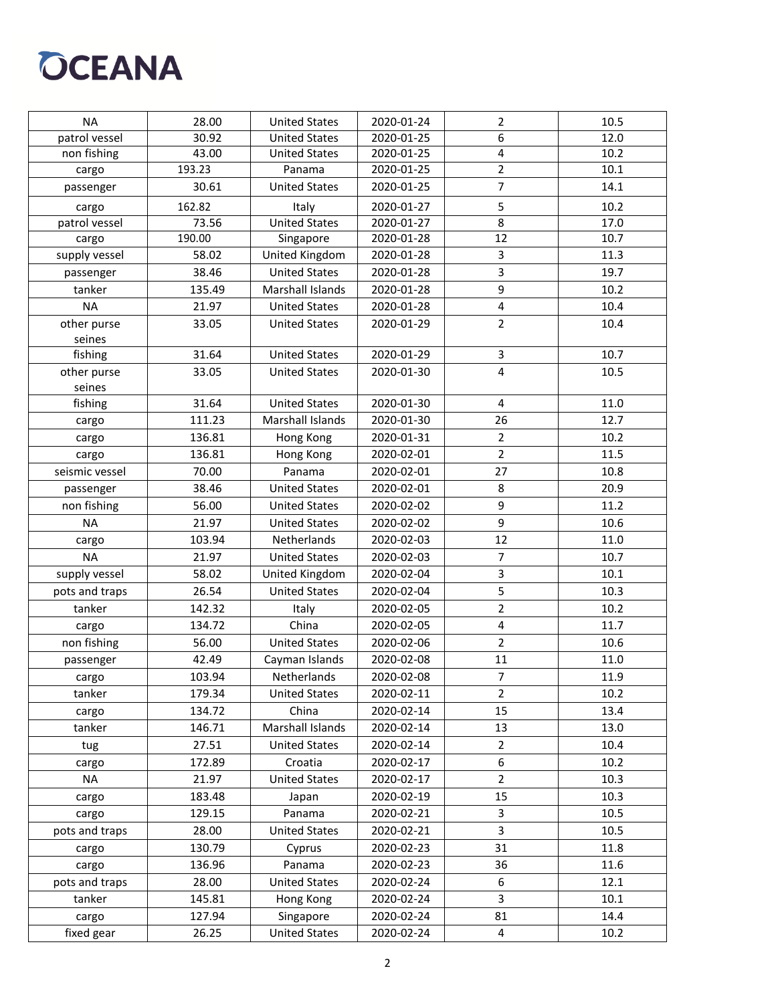# **OCEANA**

| <b>NA</b>      | 28.00  | <b>United States</b> | 2020-01-24 | 2                       | 10.5 |
|----------------|--------|----------------------|------------|-------------------------|------|
| patrol vessel  | 30.92  | <b>United States</b> | 2020-01-25 | 6                       | 12.0 |
| non fishing    | 43.00  | <b>United States</b> | 2020-01-25 | 4                       | 10.2 |
| cargo          | 193.23 | Panama               | 2020-01-25 | $\overline{2}$          | 10.1 |
| passenger      | 30.61  | <b>United States</b> | 2020-01-25 | 7                       | 14.1 |
| cargo          | 162.82 | Italy                | 2020-01-27 | 5                       | 10.2 |
| patrol vessel  | 73.56  | <b>United States</b> | 2020-01-27 | 8                       | 17.0 |
| cargo          | 190.00 | Singapore            | 2020-01-28 | 12                      | 10.7 |
| supply vessel  | 58.02  | United Kingdom       | 2020-01-28 | 3                       | 11.3 |
| passenger      | 38.46  | <b>United States</b> | 2020-01-28 | 3                       | 19.7 |
| tanker         | 135.49 | Marshall Islands     | 2020-01-28 | 9                       | 10.2 |
| <b>NA</b>      | 21.97  | <b>United States</b> | 2020-01-28 | $\overline{4}$          | 10.4 |
| other purse    | 33.05  | <b>United States</b> | 2020-01-29 | $\overline{2}$          | 10.4 |
| seines         |        |                      |            |                         |      |
| fishing        | 31.64  | <b>United States</b> | 2020-01-29 | 3                       | 10.7 |
| other purse    | 33.05  | <b>United States</b> | 2020-01-30 | $\overline{4}$          | 10.5 |
| seines         |        |                      |            |                         |      |
| fishing        | 31.64  | <b>United States</b> | 2020-01-30 | 4                       | 11.0 |
| cargo          | 111.23 | Marshall Islands     | 2020-01-30 | 26                      | 12.7 |
| cargo          | 136.81 | Hong Kong            | 2020-01-31 | $\overline{2}$          | 10.2 |
| cargo          | 136.81 | Hong Kong            | 2020-02-01 | $\overline{2}$          | 11.5 |
| seismic vessel | 70.00  | Panama               | 2020-02-01 | 27                      | 10.8 |
| passenger      | 38.46  | <b>United States</b> | 2020-02-01 | 8                       | 20.9 |
| non fishing    | 56.00  | <b>United States</b> | 2020-02-02 | 9                       | 11.2 |
| <b>NA</b>      | 21.97  | <b>United States</b> | 2020-02-02 | 9                       | 10.6 |
| cargo          | 103.94 | Netherlands          | 2020-02-03 | 12                      | 11.0 |
| <b>NA</b>      | 21.97  | <b>United States</b> | 2020-02-03 | $\overline{7}$          | 10.7 |
| supply vessel  | 58.02  | United Kingdom       | 2020-02-04 | 3                       | 10.1 |
| pots and traps | 26.54  | <b>United States</b> | 2020-02-04 | 5                       | 10.3 |
| tanker         | 142.32 | Italy                | 2020-02-05 | $\overline{2}$          | 10.2 |
| cargo          | 134.72 | China                | 2020-02-05 | 4                       | 11.7 |
| non fishing    | 56.00  | <b>United States</b> | 2020-02-06 | $\overline{2}$          | 10.6 |
| passenger      | 42.49  | Cayman Islands       | 2020-02-08 | 11                      | 11.0 |
| cargo          | 103.94 | Netherlands          | 2020-02-08 | $\boldsymbol{7}$        | 11.9 |
| tanker         | 179.34 | <b>United States</b> | 2020-02-11 | $\overline{2}$          | 10.2 |
| cargo          | 134.72 | China                | 2020-02-14 | 15                      | 13.4 |
| tanker         | 146.71 | Marshall Islands     | 2020-02-14 | 13                      | 13.0 |
| tug            | 27.51  | <b>United States</b> | 2020-02-14 | $\overline{2}$          | 10.4 |
| cargo          | 172.89 | Croatia              | 2020-02-17 | 6                       | 10.2 |
| NA             | 21.97  | <b>United States</b> | 2020-02-17 | $\overline{2}$          | 10.3 |
| cargo          | 183.48 | Japan                | 2020-02-19 | 15                      | 10.3 |
| cargo          | 129.15 | Panama               | 2020-02-21 | 3                       | 10.5 |
| pots and traps | 28.00  | <b>United States</b> | 2020-02-21 | 3                       | 10.5 |
| cargo          | 130.79 | Cyprus               | 2020-02-23 | 31                      | 11.8 |
| cargo          | 136.96 | Panama               | 2020-02-23 | 36                      | 11.6 |
| pots and traps | 28.00  | <b>United States</b> | 2020-02-24 | 6                       | 12.1 |
| tanker         | 145.81 | Hong Kong            | 2020-02-24 | 3                       | 10.1 |
| cargo          | 127.94 | Singapore            | 2020-02-24 | 81                      | 14.4 |
| fixed gear     | 26.25  | <b>United States</b> | 2020-02-24 | $\overline{\mathbf{4}}$ | 10.2 |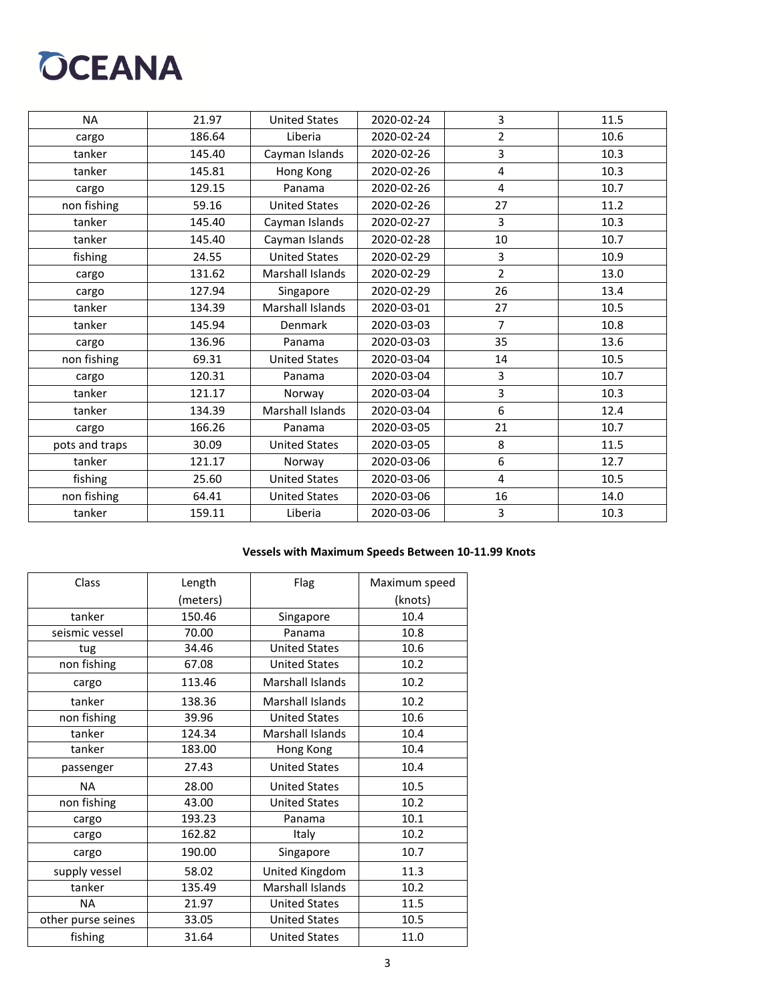# **OCEANA**

| <b>NA</b>      | 21.97  | <b>United States</b>    | 2020-02-24 | 3              | 11.5 |
|----------------|--------|-------------------------|------------|----------------|------|
| cargo          | 186.64 | Liberia                 | 2020-02-24 | $\overline{2}$ | 10.6 |
| tanker         | 145.40 | Cayman Islands          | 2020-02-26 | 3              | 10.3 |
| tanker         | 145.81 | Hong Kong               | 2020-02-26 | 4              | 10.3 |
| cargo          | 129.15 | Panama                  | 2020-02-26 | 4              | 10.7 |
| non fishing    | 59.16  | <b>United States</b>    | 2020-02-26 | 27             | 11.2 |
| tanker         | 145.40 | Cayman Islands          | 2020-02-27 | $\overline{3}$ | 10.3 |
| tanker         | 145.40 | Cayman Islands          | 2020-02-28 | 10             | 10.7 |
| fishing        | 24.55  | <b>United States</b>    | 2020-02-29 | 3              | 10.9 |
| cargo          | 131.62 | Marshall Islands        | 2020-02-29 | $\overline{2}$ | 13.0 |
| cargo          | 127.94 | Singapore               | 2020-02-29 | 26             | 13.4 |
| tanker         | 134.39 | Marshall Islands        | 2020-03-01 | 27             | 10.5 |
| tanker         | 145.94 | Denmark                 | 2020-03-03 | $\overline{7}$ | 10.8 |
| cargo          | 136.96 | Panama                  | 2020-03-03 | 35             | 13.6 |
| non fishing    | 69.31  | <b>United States</b>    | 2020-03-04 | 14             | 10.5 |
| cargo          | 120.31 | Panama                  | 2020-03-04 | 3              | 10.7 |
| tanker         | 121.17 | Norway                  | 2020-03-04 | 3              | 10.3 |
| tanker         | 134.39 | <b>Marshall Islands</b> | 2020-03-04 | 6              | 12.4 |
| cargo          | 166.26 | Panama                  | 2020-03-05 | 21             | 10.7 |
| pots and traps | 30.09  | <b>United States</b>    | 2020-03-05 | 8              | 11.5 |
| tanker         | 121.17 | Norway                  | 2020-03-06 | 6              | 12.7 |
| fishing        | 25.60  | <b>United States</b>    | 2020-03-06 | 4              | 10.5 |
| non fishing    | 64.41  | <b>United States</b>    | 2020-03-06 | 16             | 14.0 |
| tanker         | 159.11 | Liberia                 | 2020-03-06 | 3              | 10.3 |

### **Vessels with Maximum Speeds Between 10-11.99 Knots**

| Class              | Length   | Flag                    | Maximum speed |
|--------------------|----------|-------------------------|---------------|
|                    | (meters) |                         | (knots)       |
| tanker             | 150.46   | Singapore               | 10.4          |
| seismic vessel     | 70.00    | Panama                  | 10.8          |
| tug                | 34.46    | <b>United States</b>    | 10.6          |
| non fishing        | 67.08    | <b>United States</b>    | 10.2          |
| cargo              | 113.46   | Marshall Islands        | 10.2          |
| tanker             | 138.36   | <b>Marshall Islands</b> | 10.2          |
| non fishing        | 39.96    | <b>United States</b>    | 10.6          |
| tanker             | 124.34   | Marshall Islands        | 10.4          |
| tanker             | 183.00   | Hong Kong               | 10.4          |
| passenger          | 27.43    | <b>United States</b>    | 10.4          |
| <b>NA</b>          | 28.00    | <b>United States</b>    | 10.5          |
| non fishing        | 43.00    | <b>United States</b>    | 10.2          |
| cargo              | 193.23   | Panama                  | 10.1          |
| cargo              | 162.82   | Italy                   | 10.2          |
| cargo              | 190.00   | Singapore               | 10.7          |
| supply vessel      | 58.02    | United Kingdom          | 11.3          |
| tanker             | 135.49   | <b>Marshall Islands</b> | 10.2          |
| <b>NA</b>          | 21.97    | <b>United States</b>    | 11.5          |
| other purse seines | 33.05    | <b>United States</b>    | 10.5          |
| fishing            | 31.64    | <b>United States</b>    | 11.0          |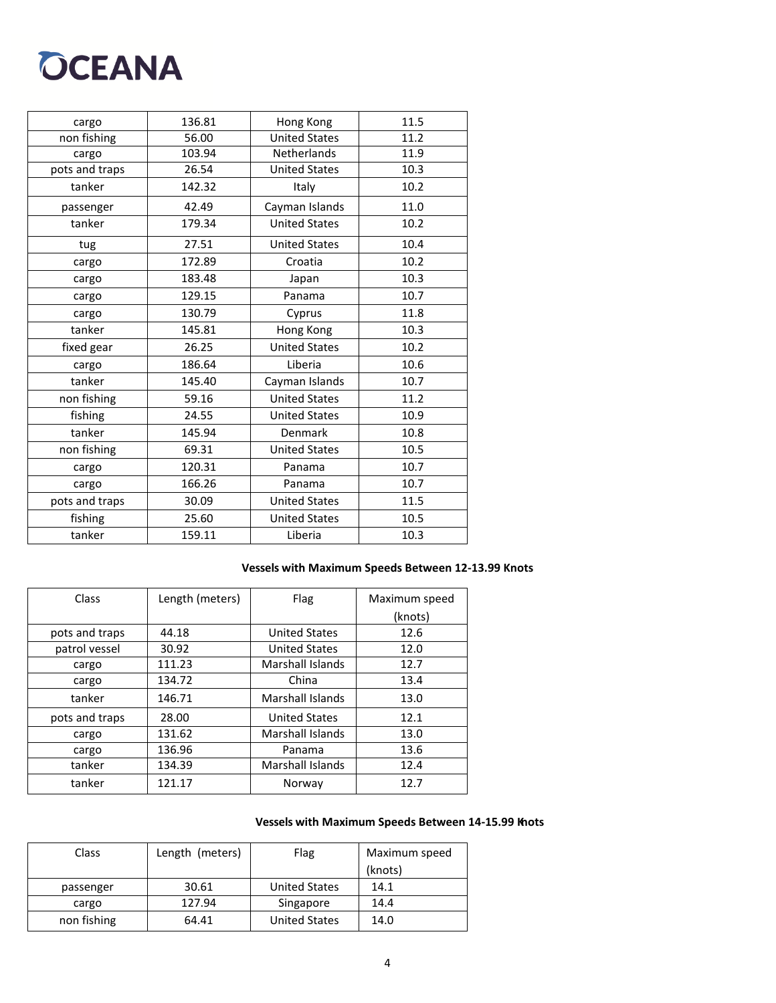## **OCEANA**

| 136.81 | Hong Kong            | 11.5 |
|--------|----------------------|------|
| 56.00  | <b>United States</b> | 11.2 |
| 103.94 | <b>Netherlands</b>   | 11.9 |
| 26.54  | <b>United States</b> | 10.3 |
| 142.32 | Italy                | 10.2 |
| 42.49  | Cayman Islands       | 11.0 |
| 179.34 | <b>United States</b> | 10.2 |
| 27.51  | <b>United States</b> | 10.4 |
| 172.89 | Croatia              | 10.2 |
| 183.48 | Japan                | 10.3 |
| 129.15 | Panama               | 10.7 |
| 130.79 | Cyprus               | 11.8 |
| 145.81 | Hong Kong            | 10.3 |
| 26.25  | <b>United States</b> | 10.2 |
| 186.64 | Liberia              | 10.6 |
| 145.40 | Cayman Islands       | 10.7 |
| 59.16  | <b>United States</b> | 11.2 |
| 24.55  | <b>United States</b> | 10.9 |
| 145.94 | Denmark              | 10.8 |
| 69.31  | <b>United States</b> | 10.5 |
| 120.31 | Panama               | 10.7 |
| 166.26 | Panama               | 10.7 |
| 30.09  | <b>United States</b> | 11.5 |
| 25.60  | <b>United States</b> | 10.5 |
| 159.11 | Liberia              | 10.3 |
|        |                      |      |

### **Vessels with Maximum Speeds Between 12-13.99 Knots**

| Class          | Length (meters) | Flag                    | Maximum speed<br>(knots) |
|----------------|-----------------|-------------------------|--------------------------|
| pots and traps | 44.18           | <b>United States</b>    | 12.6                     |
| patrol vessel  | 30.92           | <b>United States</b>    | 12.0                     |
| cargo          | 111.23          | <b>Marshall Islands</b> | 12.7                     |
| cargo          | 134.72          | China                   | 13.4                     |
| tanker         | 146.71          | <b>Marshall Islands</b> | 13.0                     |
| pots and traps | 28.00           | <b>United States</b>    | 12.1                     |
| cargo          | 131.62          | Marshall Islands        | 13.0                     |
| cargo          | 136.96          | Panama                  | 13.6                     |
| tanker         | 134.39          | Marshall Islands        | 12.4                     |
| tanker         | 121.17          | Norway                  | 12.7                     |

### **Vessels with Maximum Speeds Between 14-15.99 Knots**

| Class       | Length (meters) | Flag                 | Maximum speed |
|-------------|-----------------|----------------------|---------------|
|             |                 |                      | (knots)       |
| passenger   | 30.61           | <b>United States</b> | 14.1          |
| cargo       | 127.94          | Singapore            | 14.4          |
| non fishing | 64.41           | <b>United States</b> | 14.0          |